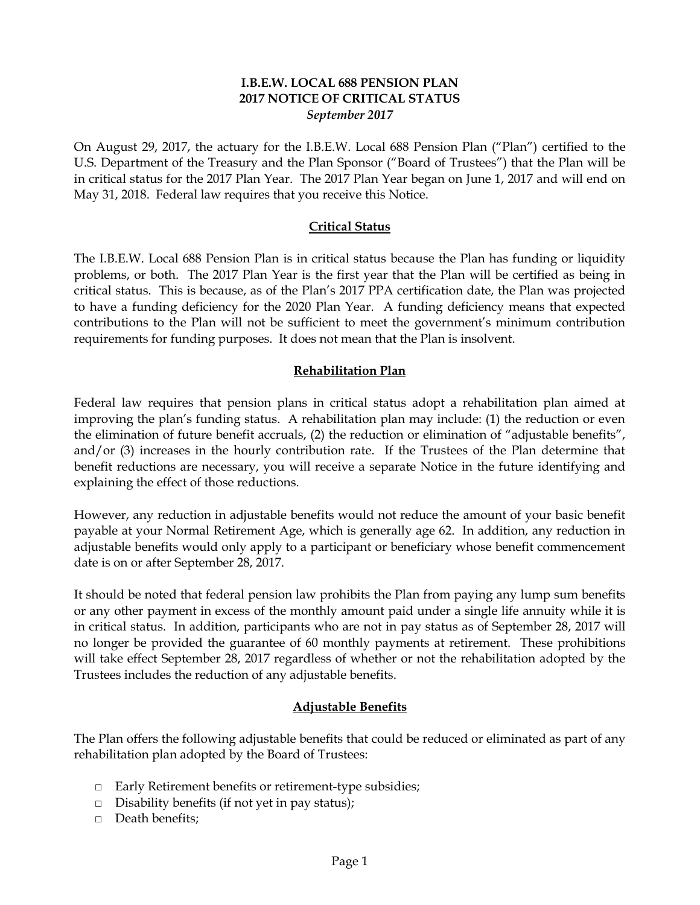### **I.B.E.W. LOCAL 688 PENSION PLAN 2017 NOTICE OF CRITICAL STATUS** *September 2017*

On August 29, 2017, the actuary for the I.B.E.W. Local 688 Pension Plan ("Plan") certified to the U.S. Department of the Treasury and the Plan Sponsor ("Board of Trustees") that the Plan will be in critical status for the 2017 Plan Year. The 2017 Plan Year began on June 1, 2017 and will end on May 31, 2018. Federal law requires that you receive this Notice.

#### **Critical Status**

The I.B.E.W. Local 688 Pension Plan is in critical status because the Plan has funding or liquidity problems, or both. The 2017 Plan Year is the first year that the Plan will be certified as being in critical status. This is because, as of the Plan's 2017 PPA certification date, the Plan was projected to have a funding deficiency for the 2020 Plan Year. A funding deficiency means that expected contributions to the Plan will not be sufficient to meet the government's minimum contribution requirements for funding purposes. It does not mean that the Plan is insolvent.

### **Rehabilitation Plan**

Federal law requires that pension plans in critical status adopt a rehabilitation plan aimed at improving the plan's funding status. A rehabilitation plan may include: (1) the reduction or even the elimination of future benefit accruals, (2) the reduction or elimination of "adjustable benefits", and/or (3) increases in the hourly contribution rate. If the Trustees of the Plan determine that benefit reductions are necessary, you will receive a separate Notice in the future identifying and explaining the effect of those reductions.

However, any reduction in adjustable benefits would not reduce the amount of your basic benefit payable at your Normal Retirement Age, which is generally age 62. In addition, any reduction in adjustable benefits would only apply to a participant or beneficiary whose benefit commencement date is on or after September 28, 2017.

It should be noted that federal pension law prohibits the Plan from paying any lump sum benefits or any other payment in excess of the monthly amount paid under a single life annuity while it is in critical status. In addition, participants who are not in pay status as of September 28, 2017 will no longer be provided the guarantee of 60 monthly payments at retirement. These prohibitions will take effect September 28, 2017 regardless of whether or not the rehabilitation adopted by the Trustees includes the reduction of any adjustable benefits.

# **Adjustable Benefits**

The Plan offers the following adjustable benefits that could be reduced or eliminated as part of any rehabilitation plan adopted by the Board of Trustees:

- □ Early Retirement benefits or retirement-type subsidies;
- $\Box$  Disability benefits (if not yet in pay status);
- □ Death benefits;